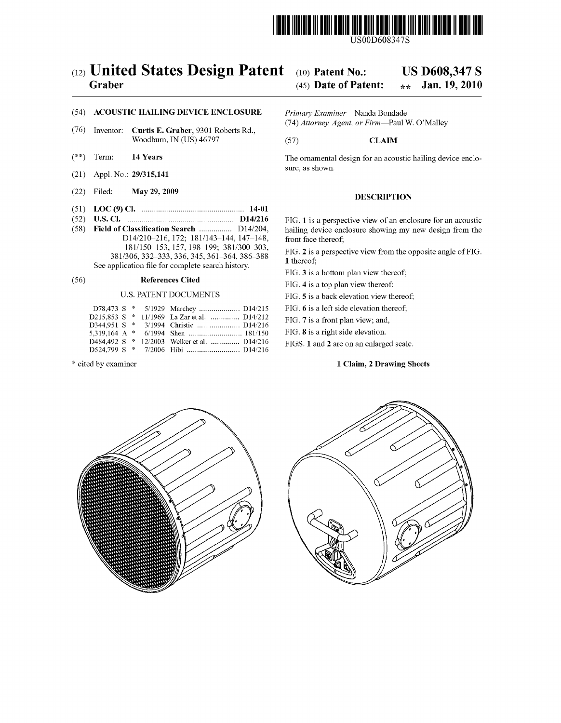

USOOD608347S

# (12) United States Design Patent (10) Patent No.: US D608,347 S<br>Graber (45) Date of Patent:  $\frac{1}{2}$  Jan. 19, 2010

## (45) Date of Patent:  $\star \star$

## (54) **ACOUSTIC HAILING DEVICE ENCLOSURE** *Primary Examiner*—Nanda Bondade (74) *Attorney, Agent, or Firm*—Paul W. O'Malley

- (76) Inventor: **Curtis E. Graber**, 9301 Roberts Rd.,<br>Woodburn, IN (US) 46797 (57) **CLAIM** Woodburn, IN (US) 46797
- 
- (21) Appl. No.: 29/315,141
- (22) Filed: May 29, 2009 DESCRIPTION
- (51) LOC (9) Cl. .................................................. 14-01
- D14/210-216, 172; 181/143-144, 147-148, 181/150-153, 157, 198-199; 381/300-303, See application file for complete search history.

## (56) **References Cited** FIG. 4 is a top plan view thereof:

|  |  | D78,473 S * 5/1929 Marchey  D14/215         |  |
|--|--|---------------------------------------------|--|
|  |  | D215,853 S * 11/1969 La Zar et al.  D14/212 |  |
|  |  |                                             |  |
|  |  |                                             |  |
|  |  | D484.492 S * 12/2003 Welker et al.  D14/216 |  |
|  |  | $D524.799 S$ * $7/2006$ Hibi                |  |

(\*\*) Term: **14 Years** The ornamental design for an acoustic hailing device enclosure, as shown.

(52) U.S. Cl.  $\ldots$  music can accust in  $D14/216$  FIG. 1 is a perspective view of an enclosure for an accustic (58) Field of Classification Search  $\ldots$  D14/204, hailing device enclosure showing my new design from the hailing device enclosure showing my new design from the front face thereof;

 $181/150-153$ ,  $157$ ,  $196-199$ ;  $381/300-303$ , FIG. 2 is a perspective view from the opposite angle of FIG.<br>  $1 \text{ thereof};$ <br>  $1 \text{ thereof};$ 

FIG. 3 is a bottom plan view thereof;

U.S. PATENT DOCUMENTS FIG. 5 is a back elevation view thereof;

FIG. 6 is a left side elevation thereof;

FIG. 7 is a front plan view; and,

FIG. 8 is a right side elevation.

FIGS. 1 and 2 are on an enlarged scale.

\* cited by examiner 1 Claim, 2 Drawing Sheets



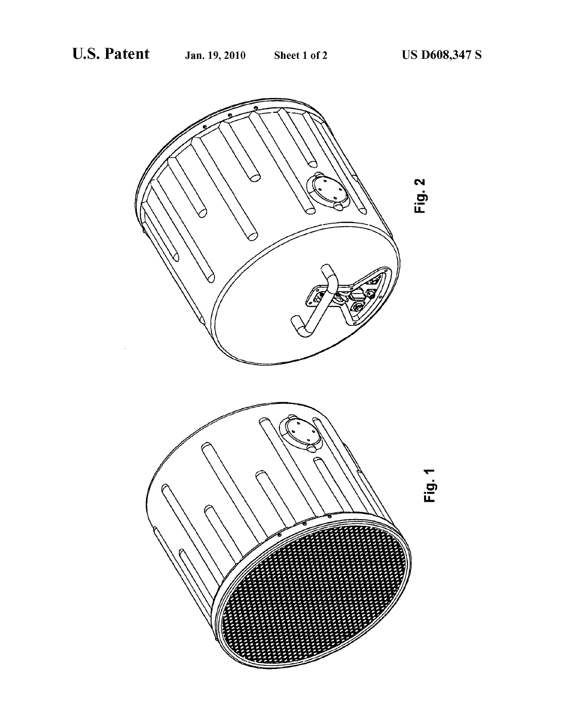